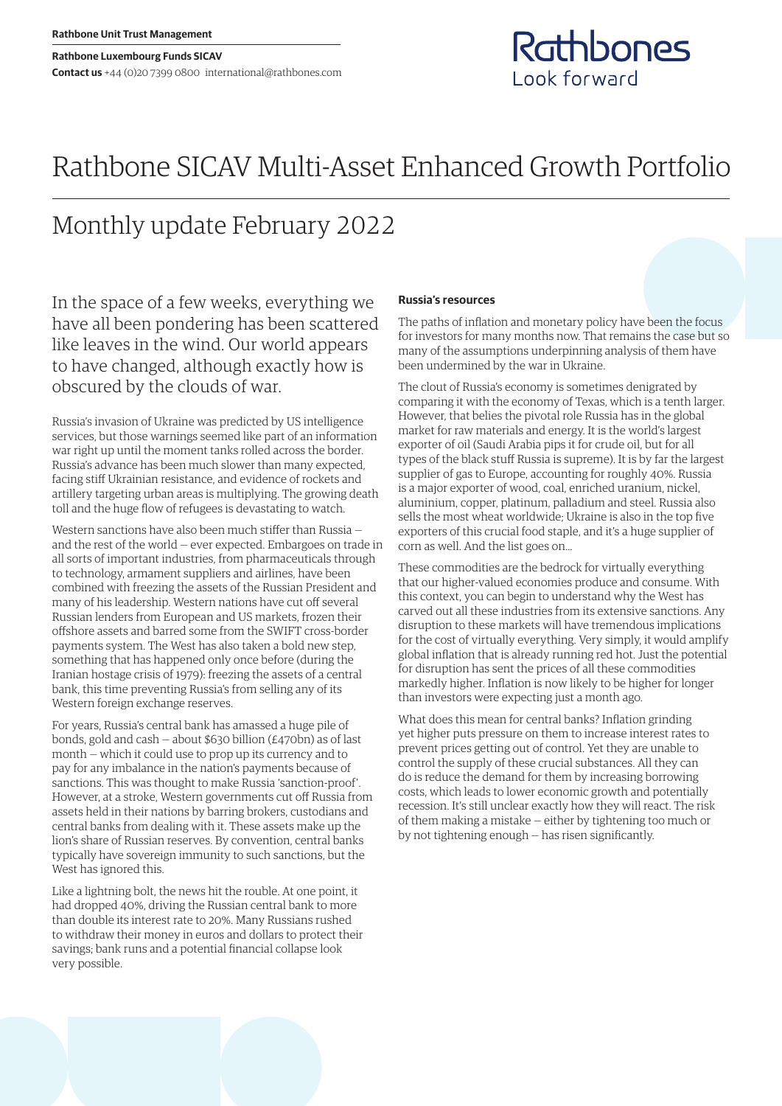# Rathbone SICAV Multi-Asset Enhanced Growth Portfolio

## Monthly update February 2022

In the space of a few weeks, everything we have all been pondering has been scattered like leaves in the wind. Our world appears to have changed, although exactly how is obscured by the clouds of war.

Russia's invasion of Ukraine was predicted by US intelligence services, but those warnings seemed like part of an information war right up until the moment tanks rolled across the border. Russia's advance has been much slower than many expected, facing stiff Ukrainian resistance, and evidence of rockets and artillery targeting urban areas is multiplying. The growing death toll and the huge flow of refugees is devastating to watch.

Western sanctions have also been much stiffer than Russia and the rest of the world — ever expected. Embargoes on trade in all sorts of important industries, from pharmaceuticals through to technology, armament suppliers and airlines, have been combined with freezing the assets of the Russian President and many of his leadership. Western nations have cut off several Russian lenders from European and US markets, frozen their offshore assets and barred some from the SWIFT cross-border payments system. The West has also taken a bold new step, something that has happened only once before (during the Iranian hostage crisis of 1979): freezing the assets of a central bank, this time preventing Russia's from selling any of its Western foreign exchange reserves.

For years, Russia's central bank has amassed a huge pile of bonds, gold and cash — about \$630 billion (£470bn) as of last month — which it could use to prop up its currency and to pay for any imbalance in the nation's payments because of sanctions. This was thought to make Russia 'sanction-proof'. However, at a stroke, Western governments cut off Russia from assets held in their nations by barring brokers, custodians and central banks from dealing with it. These assets make up the lion's share of Russian reserves. By convention, central banks typically have sovereign immunity to such sanctions, but the West has ignored this.

Like a lightning bolt, the news hit the rouble. At one point, it had dropped 40%, driving the Russian central bank to more than double its interest rate to 20%. Many Russians rushed to withdraw their money in euros and dollars to protect their savings; bank runs and a potential financial collapse look very possible.

## **Russia's resources**

The paths of inflation and monetary policy have been the focus for investors for many months now. That remains the case but so many of the assumptions underpinning analysis of them have been undermined by the war in Ukraine.

Rathbones

**Look forward** 

The clout of Russia's economy is sometimes denigrated by comparing it with the economy of Texas, which is a tenth larger. However, that belies the pivotal role Russia has in the global market for raw materials and energy. It is the world's largest exporter of oil (Saudi Arabia pips it for crude oil, but for all types of the black stuff Russia is supreme). It is by far the largest supplier of gas to Europe, accounting for roughly 40%. Russia is a major exporter of wood, coal, enriched uranium, nickel, aluminium, copper, platinum, palladium and steel. Russia also sells the most wheat worldwide; Ukraine is also in the top five exporters of this crucial food staple, and it's a huge supplier of corn as well. And the list goes on…

These commodities are the bedrock for virtually everything that our higher-valued economies produce and consume. With this context, you can begin to understand why the West has carved out all these industries from its extensive sanctions. Any disruption to these markets will have tremendous implications for the cost of virtually everything. Very simply, it would amplify global inflation that is already running red hot. Just the potential for disruption has sent the prices of all these commodities markedly higher. Inflation is now likely to be higher for longer than investors were expecting just a month ago.

What does this mean for central banks? Inflation grinding yet higher puts pressure on them to increase interest rates to prevent prices getting out of control. Yet they are unable to control the supply of these crucial substances. All they can do is reduce the demand for them by increasing borrowing costs, which leads to lower economic growth and potentially recession. It's still unclear exactly how they will react. The risk of them making a mistake — either by tightening too much or by not tightening enough — has risen significantly.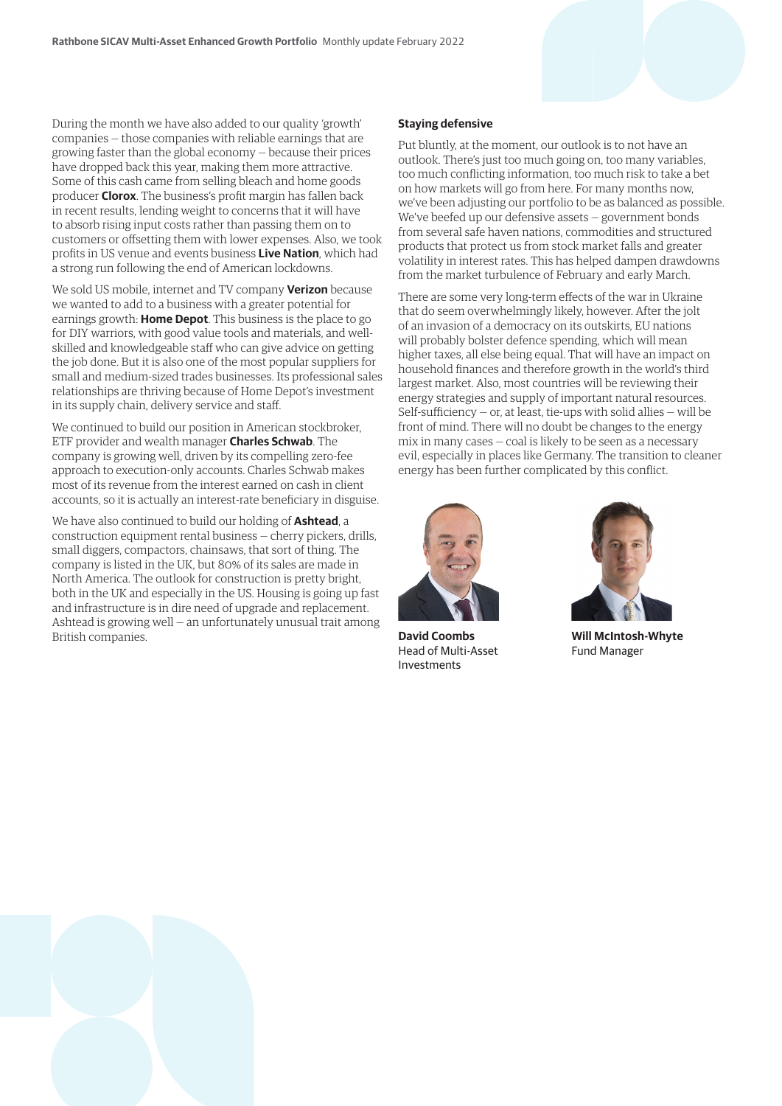During the month we have also added to our quality 'growth' companies — those companies with reliable earnings that are growing faster than the global economy — because their prices have dropped back this year, making them more attractive. Some of this cash came from selling bleach and home goods producer **Clorox**. The business's profit margin has fallen back in recent results, lending weight to concerns that it will have to absorb rising input costs rather than passing them on to customers or offsetting them with lower expenses. Also, we took profits in US venue and events business **Live Nation**, which had a strong run following the end of American lockdowns.

We sold US mobile, internet and TV company **Verizon** because we wanted to add to a business with a greater potential for earnings growth: **Home Depot**. This business is the place to go for DIY warriors, with good value tools and materials, and wellskilled and knowledgeable staff who can give advice on getting the job done. But it is also one of the most popular suppliers for small and medium-sized trades businesses. Its professional sales relationships are thriving because of Home Depot's investment in its supply chain, delivery service and staff.

We continued to build our position in American stockbroker, ETF provider and wealth manager **Charles Schwab**. The company is growing well, driven by its compelling zero-fee approach to execution-only accounts. Charles Schwab makes most of its revenue from the interest earned on cash in client accounts, so it is actually an interest-rate beneficiary in disguise.

We have also continued to build our holding of **Ashtead**, a construction equipment rental business — cherry pickers, drills, small diggers, compactors, chainsaws, that sort of thing. The company is listed in the UK, but 80% of its sales are made in North America. The outlook for construction is pretty bright, both in the UK and especially in the US. Housing is going up fast and infrastructure is in dire need of upgrade and replacement. Ashtead is growing well — an unfortunately unusual trait among British companies.

### **Staying defensive**

Put bluntly, at the moment, our outlook is to not have an outlook. There's just too much going on, too many variables, too much conflicting information, too much risk to take a bet on how markets will go from here. For many months now, we've been adjusting our portfolio to be as balanced as possible. We've beefed up our defensive assets — government bonds from several safe haven nations, commodities and structured products that protect us from stock market falls and greater volatility in interest rates. This has helped dampen drawdowns from the market turbulence of February and early March.

There are some very long-term effects of the war in Ukraine that do seem overwhelmingly likely, however. After the jolt of an invasion of a democracy on its outskirts, EU nations will probably bolster defence spending, which will mean higher taxes, all else being equal. That will have an impact on household finances and therefore growth in the world's third largest market. Also, most countries will be reviewing their energy strategies and supply of important natural resources. Self-sufficiency  $-$  or, at least, tie-ups with solid allies  $-$  will be front of mind. There will no doubt be changes to the energy mix in many cases — coal is likely to be seen as a necessary evil, especially in places like Germany. The transition to cleaner energy has been further complicated by this conflict.



**David Coombs** Head of Multi-Asset Investments



**Will McIntosh-Whyte** Fund Manager